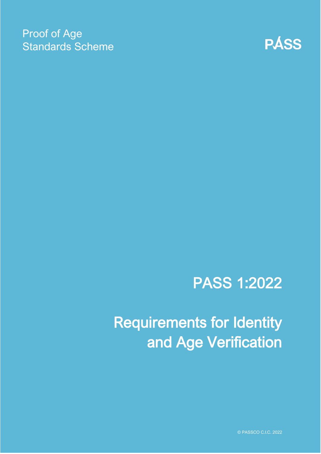### Proof of Age Standards Scheme



# PASS 1:2022

# Requirements for Identity and Age Verification

© PASSCO C.I.C. 2022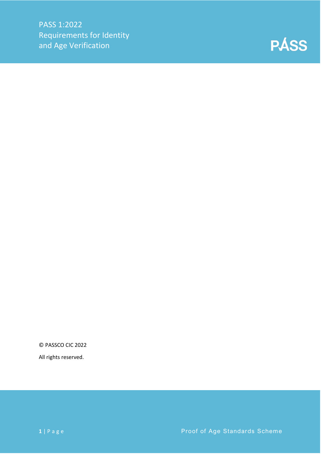

© PASSCO CIC 2022

All rights reserved.

**1** | Page **Proof of Age Standards Scheme**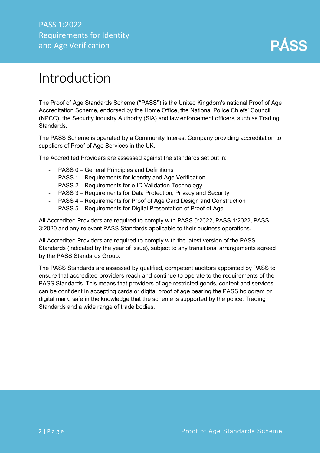PASS 1:2022 Requirements for Identity and Age Verification



### <span id="page-2-0"></span>Introduction

The Proof of Age Standards Scheme ("PASS") is the United Kingdom's national Proof of Age Accreditation Scheme, endorsed by the Home Office, the National Police Chiefs' Council (NPCC), the Security Industry Authority (SIA) and law enforcement officers, such as Trading Standards.

The PASS Scheme is operated by a Community Interest Company providing accreditation to suppliers of Proof of Age Services in the UK.

The Accredited Providers are assessed against the standards set out in:

- PASS 0 General Principles and Definitions
- PASS 1 Requirements for Identity and Age Verification
- PASS 2 Requirements for e-ID Validation Technology
- PASS 3 Requirements for Data Protection, Privacy and Security
- PASS 4 Requirements for Proof of Age Card Design and Construction
- PASS 5 Requirements for Digital Presentation of Proof of Age

All Accredited Providers are required to comply with PASS 0:2022, PASS 1:2022, PASS 3:2020 and any relevant PASS Standards applicable to their business operations.

All Accredited Providers are required to comply with the latest version of the PASS Standards (indicated by the year of issue), subject to any transitional arrangements agreed by the PASS Standards Group.

The PASS Standards are assessed by qualified, competent auditors appointed by PASS to ensure that accredited providers reach and continue to operate to the requirements of the PASS Standards. This means that providers of age restricted goods, content and services can be confident in accepting cards or digital proof of age bearing the PASS hologram or digital mark, safe in the knowledge that the scheme is supported by the police, Trading Standards and a wide range of trade bodies.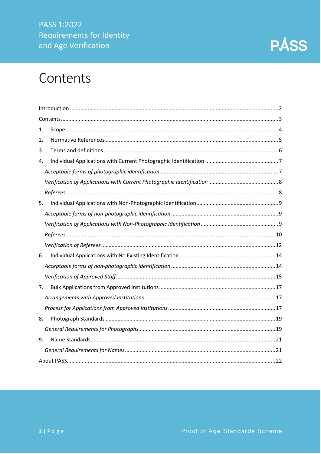#### PASS 1:2022 Requirements for Identity and Age Verification



### <span id="page-3-0"></span>Contents

| 1. |  |
|----|--|
| 2. |  |
| 3. |  |
| 4. |  |
|    |  |
|    |  |
|    |  |
| 5. |  |
|    |  |
|    |  |
|    |  |
|    |  |
|    |  |
| 6. |  |
|    |  |
|    |  |
| 7. |  |
|    |  |
|    |  |
| 8. |  |
|    |  |
| 9. |  |
|    |  |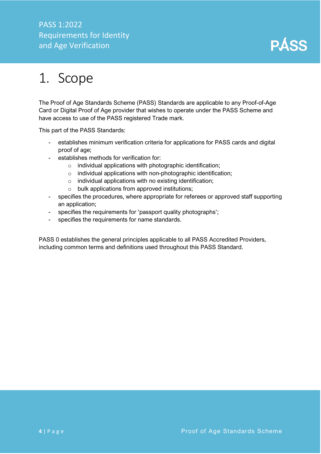#### PASS 1:2022 Requirements for Identity and Age Verification



## <span id="page-4-0"></span>1. Scope

The Proof of Age Standards Scheme (PASS) Standards are applicable to any Proof-of-Age Card or Digital Proof of Age provider that wishes to operate under the PASS Scheme and have access to use of the PASS registered Trade mark.

This part of the PASS Standards:

- establishes minimum verification criteria for applications for PASS cards and digital proof of age;
- establishes methods for verification for:
	- o individual applications with photographic identification;
	- o individual applications with non-photographic identification;
	- $\circ$  individual applications with no existing identification;
	- o bulk applications from approved institutions;
- specifies the procedures, where appropriate for referees or approved staff supporting an application;
- specifies the requirements for 'passport quality photographs';
- specifies the requirements for name standards.

PASS 0 establishes the general principles applicable to all PASS Accredited Providers, including common terms and definitions used throughout this PASS Standard.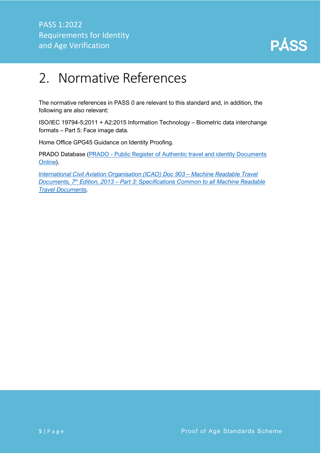

## <span id="page-5-0"></span>2. Normative References

The normative references in PASS 0 are relevant to this standard and, in addition, the following are also relevant:

ISO/IEC 19794-5:2011 + A2:2015 Information Technology – Biometric data interchange formats – Part 5: Face image data.

Home Office GPG45 Guidance on Identity Proofing.

PRADO Database (PRADO - [Public Register of Authentic travel and identity Documents](https://www.consilium.europa.eu/prado/en/prado-start-page.html)  [Online\)](https://www.consilium.europa.eu/prado/en/prado-start-page.html).

*[International Civil Aviation Organisation \(ICAO\)](https://www.icao.int/publications/Documents/9303_p3_cons_en.pdf) Doc 903 – Machine Readable Travel Documents, 7th Edition, 2013 – [Part 3: Specifications Common to all Machine Readable](https://www.icao.int/publications/Documents/9303_p3_cons_en.pdf)  [Travel Documents.](https://www.icao.int/publications/Documents/9303_p3_cons_en.pdf)*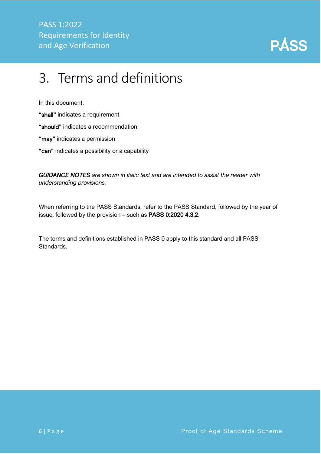

## <span id="page-6-0"></span>3. Terms and definitions

In this document:

"shall" indicates a requirement

"should" indicates a recommendation

"may" indicates a permission

"can" indicates a possibility or a capability

*GUIDANCE NOTES are shown in italic text and are intended to assist the reader with understanding provisions.*

When referring to the PASS Standards, refer to the PASS Standard, followed by the year of issue, followed by the provision – such as PASS 0:2020 4.3.2.

The terms and definitions established in PASS 0 apply to this standard and all PASS Standards.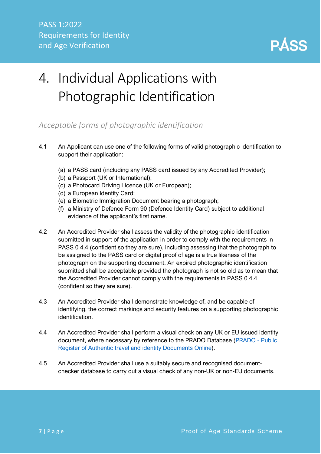

# <span id="page-7-0"></span>4. Individual Applications with Photographic Identification

#### <span id="page-7-1"></span>*Acceptable forms of photographic identification*

- 4.1 An Applicant can use one of the following forms of valid photographic identification to support their application:
	- (a) a PASS card (including any PASS card issued by any Accredited Provider);
	- (b) a Passport (UK or International);
	- (c) a Photocard Driving Licence (UK or European);
	- (d) a European Identity Card;
	- (e) a Biometric Immigration Document bearing a photograph;
	- (f) a Ministry of Defence Form 90 (Defence Identity Card) subject to additional evidence of the applicant's first name.
- 4.2 An Accredited Provider shall assess the validity of the photographic identification submitted in support of the application in order to comply with the requirements in PASS 0 4.4 (confident so they are sure), including assessing that the photograph to be assigned to the PASS card or digital proof of age is a true likeness of the photograph on the supporting document. An expired photographic identification submitted shall be acceptable provided the photograph is not so old as to mean that the Accredited Provider cannot comply with the requirements in PASS 0 4.4 (confident so they are sure).
- 4.3 An Accredited Provider shall demonstrate knowledge of, and be capable of identifying, the correct markings and security features on a supporting photographic identification.
- 4.4 An Accredited Provider shall perform a visual check on any UK or EU issued identity document, where necessary by reference to the PRADO Database [\(PRADO -](https://www.consilium.europa.eu/prado/en/prado-start-page.html) Public [Register of Authentic travel and identity Documents Online\)](https://www.consilium.europa.eu/prado/en/prado-start-page.html).
- 4.5 An Accredited Provider shall use a suitably secure and recognised documentchecker database to carry out a visual check of any non-UK or non-EU documents.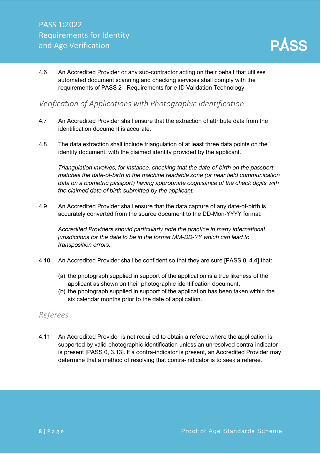4.6 An Accredited Provider or any sub-contractor acting on their behalf that utilises automated document scanning and checking services shall comply with the requirements of PASS 2 - Requirements for e-ID Validation Technology.

#### <span id="page-8-0"></span>*Verification of Applications with Photographic Identification*

- 4.7 An Accredited Provider shall ensure that the extraction of attribute data from the identification document is accurate.
- 4.8 The data extraction shall include triangulation of at least three data points on the identity document, with the claimed identity provided by the applicant.

*Triangulation involves, for instance, checking that the date-of-birth on the passport matches the date-of-birth in the machine readable zone (or near field communication data on a biometric passport) having appropriate cognisance of the check digits with the claimed date of birth submitted by the applicant.*

4.9 An Accredited Provider shall ensure that the data capture of any date-of-birth is accurately converted from the source document to the DD-Mon-YYYY format.

*Accredited Providers should particularly note the practice in many international jurisdictions for the date to be in the format MM-DD-YY which can lead to transposition errors.*

- 4.10 An Accredited Provider shall be confident so that they are sure [PASS 0, 4.4] that:
	- (a) the photograph supplied in support of the application is a true likeness of the applicant as shown on their photographic identification document;
	- (b) the photograph supplied in support of the application has been taken within the six calendar months prior to the date of application.

#### <span id="page-8-1"></span>*Referees*

4.11 An Accredited Provider is not required to obtain a referee where the application is supported by valid photographic identification unless an unresolved contra-indicator is present [PASS 0, 3.13]. If a contra-indicator is present, an Accredited Provider may determine that a method of resolving that contra-indicator is to seek a referee.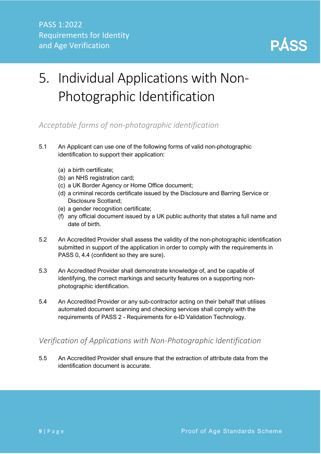

# <span id="page-9-0"></span>5. Individual Applications with Non-Photographic Identification

<span id="page-9-1"></span>*Acceptable forms of non-photographic identification*

- 5.1 An Applicant can use one of the following forms of valid non-photographic identification to support their application:
	- (a) a birth certificate;
	- (b) an NHS registration card;
	- (c) a UK Border Agency or Home Office document;
	- (d) a criminal records certificate issued by the Disclosure and Barring Service or Disclosure Scotland;
	- (e) a gender recognition certificate;
	- (f) any official document issued by a UK public authority that states a full name and date of birth.
- 5.2 An Accredited Provider shall assess the validity of the non-photographic identification submitted in support of the application in order to comply with the requirements in PASS 0, 4.4 (confident so they are sure).
- 5.3 An Accredited Provider shall demonstrate knowledge of, and be capable of identifying, the correct markings and security features on a supporting nonphotographic identification.
- 5.4 An Accredited Provider or any sub-contractor acting on their behalf that utilises automated document scanning and checking services shall comply with the requirements of PASS 2 - Requirements for e-ID Validation Technology.

#### <span id="page-9-2"></span>*Verification of Applications with Non-Photographic Identification*

5.5 An Accredited Provider shall ensure that the extraction of attribute data from the identification document is accurate.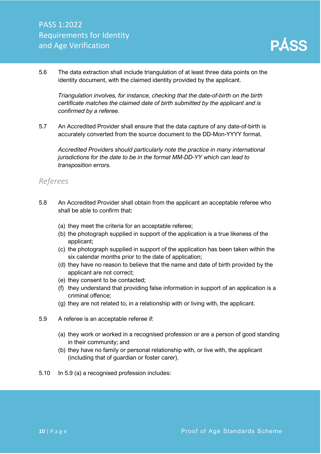5.6 The data extraction shall include triangulation of at least three data points on the identity document, with the claimed identity provided by the applicant.

*Triangulation involves, for instance, checking that the date-of-birth on the birth certificate matches the claimed date of birth submitted by the applicant and is confirmed by a referee.*

5.7 An Accredited Provider shall ensure that the data capture of any date-of-birth is accurately converted from the source document to the DD-Mon-YYYY format.

*Accredited Providers should particularly note the practice in many international jurisdictions for the date to be in the format MM-DD-YY which can lead to transposition errors.*

#### <span id="page-10-0"></span>*Referees*

- 5.8 An Accredited Provider shall obtain from the applicant an acceptable referee who shall be able to confirm that:
	- (a) they meet the criteria for an acceptable referee;
	- (b) the photograph supplied in support of the application is a true likeness of the applicant;
	- (c) the photograph supplied in support of the application has been taken within the six calendar months prior to the date of application;
	- (d) they have no reason to believe that the name and date of birth provided by the applicant are not correct;
	- (e) they consent to be contacted;
	- (f) they understand that providing false information in support of an application is a criminal offence;
	- (g) they are not related to, in a relationship with or living with, the applicant.
- 5.9 A referee is an acceptable referee if:
	- (a) they work or worked in a recognised profession or are a person of good standing in their community; and
	- (b) they have no family or personal relationship with, or live with, the applicant (including that of guardian or foster carer).
- 5.10 In 5.9 (a) a recognised profession includes: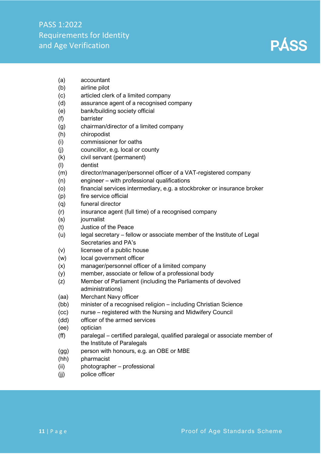

- (a) accountant
- (b) airline pilot
- (c) articled clerk of a limited company
- (d) assurance agent of a recognised company
- (e) bank/building society official
- (f) barrister
- (g) chairman/director of a limited company
- (h) chiropodist
- (i) commissioner for oaths
- (j) councillor, e.g. local or county
- (k) civil servant (permanent)
- (l) dentist
- (m) director/manager/personnel officer of a VAT-registered company
- (n) engineer with professional qualifications
- (o) financial services intermediary, e.g. a stockbroker or insurance broker
- (p) fire service official
- (q) funeral director
- (r) insurance agent (full time) of a recognised company
- (s) journalist
- (t) Justice of the Peace
- (u) legal secretary fellow or associate member of the Institute of Legal Secretaries and PA's
- (v) licensee of a public house
- (w) local government officer
- (x) manager/personnel officer of a limited company
- (y) member, associate or fellow of a professional body
- (z) Member of Parliament (including the Parliaments of devolved administrations)
- (aa) Merchant Navy officer
- (bb) minister of a recognised religion including Christian Science
- (cc) nurse registered with the Nursing and Midwifery Council
- (dd) officer of the armed services
- (ee) optician
- (ff) paralegal certified paralegal, qualified paralegal or associate member of the Institute of Paralegals
- (gg) person with honours, e.g. an OBE or MBE
- (hh) pharmacist
- (ii) photographer professional
- (jj) police officer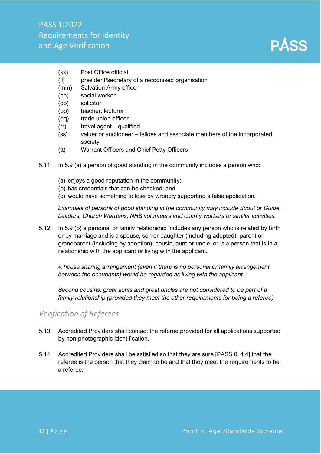

- (kk) Post Office official
- (ll) president/secretary of a recognised organisation
- (mm) Salvation Army officer
- (nn) social worker
- (oo) solicitor
- (pp) teacher, lecturer
- (qq) trade union officer
- (rr) travel agent qualified
- (ss) valuer or auctioneer felloes and associate members of the incorporated society
- (tt) Warrant Officers and Chief Petty Officers
- 5.11 In 5.9 (a) a person of good standing in the community includes a person who:
	- (a) enjoys a good reputation in the community;
	- (b) has credentials that can be checked; and
	- (c) would have something to lose by wrongly supporting a false application.

*Examples of persons of good standing in the community may include Scout or Guide Leaders, Church Wardens, NHS volunteers and charity workers or similar activities.*

5.12 In 5.9 (b) a personal or family relationship includes any person who is related by birth or by marriage and is a spouse, son or daughter (including adopted), parent or grandparent (including by adoption), cousin, aunt or uncle, or is a person that is in a relationship with the applicant or living with the applicant.

*A house sharing arrangement (even if there is no personal or family arrangement between the occupants) would be regarded as living with the applicant.*

*Second cousins, great aunts and great uncles are not considered to be part of a family relationship (provided they meet the other requirements for being a referee).*

#### <span id="page-12-0"></span>*Verification of Referees*

- 5.13 Accredited Providers shall contact the referee provided for all applications supported by non-photographic identification.
- 5.14 Accredited Providers shall be satisfied so that they are sure [PASS 0, 4.4] that the referee is the person that they claim to be and that they meet the requirements to be a referee.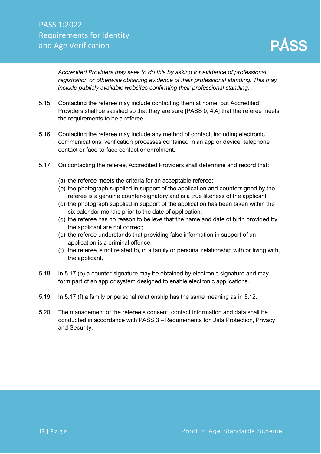*Accredited Providers may seek to do this by asking for evidence of professional registration or otherwise obtaining evidence of their professional standing. This may include publicly available websites confirming their professional standing.* 

- 5.15 Contacting the referee may include contacting them at home, but Accredited Providers shall be satisfied so that they are sure [PASS 0, 4.4] that the referee meets the requirements to be a referee.
- 5.16 Contacting the referee may include any method of contact, including electronic communications, verification processes contained in an app or device, telephone contact or face-to-face contact or enrolment.
- 5.17 On contacting the referee, Accredited Providers shall determine and record that:
	- (a) the referee meets the criteria for an acceptable referee;
	- (b) the photograph supplied in support of the application and countersigned by the referee is a genuine counter-signatory and is a true likeness of the applicant;
	- (c) the photograph supplied in support of the application has been taken within the six calendar months prior to the date of application;
	- (d) the referee has no reason to believe that the name and date of birth provided by the applicant are not correct;
	- (e) the referee understands that providing false information in support of an application is a criminal offence;
	- (f) the referee is not related to, in a family or personal relationship with or living with, the applicant.
- 5.18 In 5.17 (b) a counter-signature may be obtained by electronic signature and may form part of an app or system designed to enable electronic applications.
- 5.19 In 5.17 (f) a family or personal relationship has the same meaning as in 5.12.
- 5.20 The management of the referee's consent, contact information and data shall be conducted in accordance with PASS 3 – Requirements for Data Protection, Privacy and Security.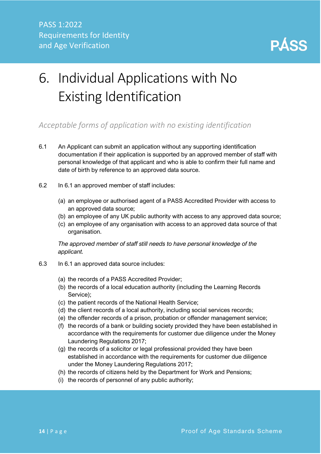

# <span id="page-14-0"></span>6. Individual Applications with No Existing Identification

<span id="page-14-1"></span>*Acceptable forms of application with no existing identification*

- 6.1 An Applicant can submit an application without any supporting identification documentation if their application is supported by an approved member of staff with personal knowledge of that applicant and who is able to confirm their full name and date of birth by reference to an approved data source.
- 6.2 In 6.1 an approved member of staff includes:
	- (a) an employee or authorised agent of a PASS Accredited Provider with access to an approved data source;
	- (b) an employee of any UK public authority with access to any approved data source;
	- (c) an employee of any organisation with access to an approved data source of that organisation.

*The approved member of staff still needs to have personal knowledge of the applicant.*

- 6.3 In 6.1 an approved data source includes:
	- (a) the records of a PASS Accredited Provider;
	- (b) the records of a local education authority (including the Learning Records Service);
	- (c) the patient records of the National Health Service;
	- (d) the client records of a local authority, including social services records;
	- (e) the offender records of a prison, probation or offender management service;
	- (f) the records of a bank or building society provided they have been established in accordance with the requirements for customer due diligence under the Money Laundering Regulations 2017;
	- (g) the records of a solicitor or legal professional provided they have been established in accordance with the requirements for customer due diligence under the Money Laundering Regulations 2017;
	- (h) the records of citizens held by the Department for Work and Pensions;
	- (i) the records of personnel of any public authority;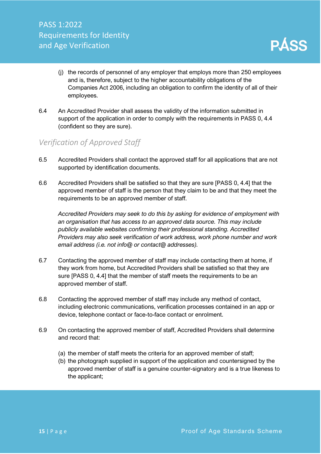- (j) the records of personnel of any employer that employs more than 250 employees and is, therefore, subject to the higher accountability obligations of the Companies Act 2006, including an obligation to confirm the identity of all of their employees.
- 6.4 An Accredited Provider shall assess the validity of the information submitted in support of the application in order to comply with the requirements in PASS 0, 4.4 (confident so they are sure).

#### <span id="page-15-0"></span>*Verification of Approved Staff*

- 6.5 Accredited Providers shall contact the approved staff for all applications that are not supported by identification documents.
- 6.6 Accredited Providers shall be satisfied so that they are sure [PASS 0, 4.4] that the approved member of staff is the person that they claim to be and that they meet the requirements to be an approved member of staff.

*Accredited Providers may seek to do this by asking for evidence of employment with an organisation that has access to an approved data source. This may include publicly available websites confirming their professional standing. Accredited Providers may also seek verification of work address, work phone number and work email address (i.e. not info@ or contact@ addresses).*

- 6.7 Contacting the approved member of staff may include contacting them at home, if they work from home, but Accredited Providers shall be satisfied so that they are sure [PASS 0, 4.4] that the member of staff meets the requirements to be an approved member of staff.
- 6.8 Contacting the approved member of staff may include any method of contact, including electronic communications, verification processes contained in an app or device, telephone contact or face-to-face contact or enrolment.
- 6.9 On contacting the approved member of staff, Accredited Providers shall determine and record that:
	- (a) the member of staff meets the criteria for an approved member of staff;
	- (b) the photograph supplied in support of the application and countersigned by the approved member of staff is a genuine counter-signatory and is a true likeness to the applicant;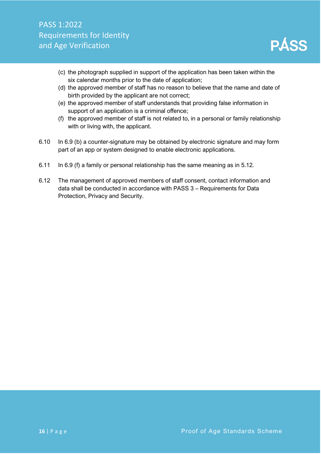

- (c) the photograph supplied in support of the application has been taken within the six calendar months prior to the date of application;
- (d) the approved member of staff has no reason to believe that the name and date of birth provided by the applicant are not correct;
- (e) the approved member of staff understands that providing false information in support of an application is a criminal offence;
- (f) the approved member of staff is not related to, in a personal or family relationship with or living with, the applicant.
- 6.10 In 6.9 (b) a counter-signature may be obtained by electronic signature and may form part of an app or system designed to enable electronic applications.
- 6.11 In 6.9 (f) a family or personal relationship has the same meaning as in 5.12.
- 6.12 The management of approved members of staff consent, contact information and data shall be conducted in accordance with PASS 3 – Requirements for Data Protection, Privacy and Security.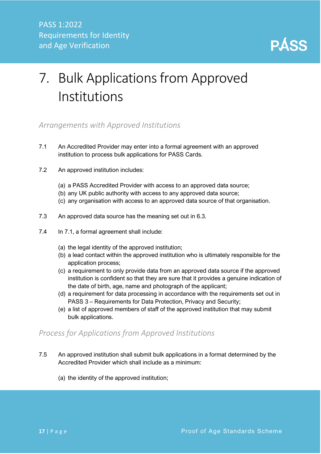

# <span id="page-17-0"></span>7. Bulk Applications from Approved Institutions

#### <span id="page-17-1"></span>*Arrangements with Approved Institutions*

- 7.1 An Accredited Provider may enter into a formal agreement with an approved institution to process bulk applications for PASS Cards.
- 7.2 An approved institution includes:
	- (a) a PASS Accredited Provider with access to an approved data source;
	- (b) any UK public authority with access to any approved data source;
	- (c) any organisation with access to an approved data source of that organisation.
- 7.3 An approved data source has the meaning set out in 6.3.
- 7.4 In 7.1, a formal agreement shall include:
	- (a) the legal identity of the approved institution;
	- (b) a lead contact within the approved institution who is ultimately responsible for the application process;
	- (c) a requirement to only provide data from an approved data source if the approved institution is confident so that they are sure that it provides a genuine indication of the date of birth, age, name and photograph of the applicant;
	- (d) a requirement for data processing in accordance with the requirements set out in PASS 3 – Requirements for Data Protection, Privacy and Security;
	- (e) a list of approved members of staff of the approved institution that may submit bulk applications.

#### <span id="page-17-2"></span>*Process for Applications from Approved Institutions*

- 7.5 An approved institution shall submit bulk applications in a format determined by the Accredited Provider which shall include as a minimum:
	- (a) the identity of the approved institution;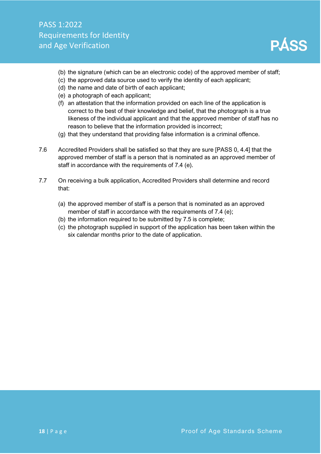- (b) the signature (which can be an electronic code) of the approved member of staff;
- (c) the approved data source used to verify the identity of each applicant;
- (d) the name and date of birth of each applicant;
- (e) a photograph of each applicant;
- (f) an attestation that the information provided on each line of the application is correct to the best of their knowledge and belief, that the photograph is a true likeness of the individual applicant and that the approved member of staff has no reason to believe that the information provided is incorrect;
- (g) that they understand that providing false information is a criminal offence.
- 7.6 Accredited Providers shall be satisfied so that they are sure [PASS 0, 4.4] that the approved member of staff is a person that is nominated as an approved member of staff in accordance with the requirements of 7.4 (e).
- 7.7 On receiving a bulk application, Accredited Providers shall determine and record that:
	- (a) the approved member of staff is a person that is nominated as an approved member of staff in accordance with the requirements of 7.4 (e);
	- (b) the information required to be submitted by 7.5 is complete;
	- (c) the photograph supplied in support of the application has been taken within the six calendar months prior to the date of application.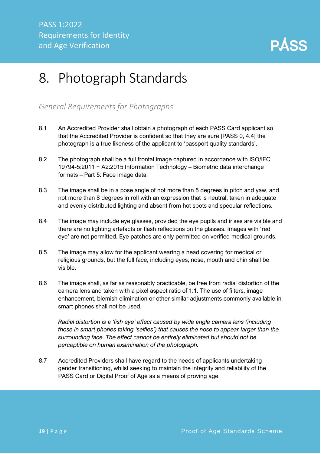

## <span id="page-19-0"></span>8. Photograph Standards

#### <span id="page-19-1"></span>*General Requirements for Photographs*

- 8.1 An Accredited Provider shall obtain a photograph of each PASS Card applicant so that the Accredited Provider is confident so that they are sure [PASS 0, 4.4] the photograph is a true likeness of the applicant to 'passport quality standards'.
- 8.2 The photograph shall be a full frontal image captured in accordance with ISO/IEC 19794-5:2011 + A2:2015 Information Technology – Biometric data interchange formats – Part 5: Face image data.
- 8.3 The image shall be in a pose angle of not more than 5 degrees in pitch and yaw, and not more than 8 degrees in roll with an expression that is neutral, taken in adequate and evenly distributed lighting and absent from hot spots and specular reflections.
- 8.4 The image may include eye glasses, provided the eye pupils and irises are visible and there are no lighting artefacts or flash reflections on the glasses. Images with 'red eye' are not permitted. Eye patches are only permitted on verified medical grounds.
- 8.5 The image may allow for the applicant wearing a head covering for medical or religious grounds, but the full face, including eyes, nose, mouth and chin shall be visible.
- 8.6 The image shall, as far as reasonably practicable, be free from radial distortion of the camera lens and taken with a pixel aspect ratio of 1:1. The use of filters, image enhancement, blemish elimination or other similar adjustments commonly available in smart phones shall not be used.

*Radial distortion is a 'fish eye' effect caused by wide angle camera lens (including those in smart phones taking 'selfies') that causes the nose to appear larger than the surrounding face. The effect cannot be entirely eliminated but should not be perceptible on human examination of the photograph.*

8.7 Accredited Providers shall have regard to the needs of applicants undertaking gender transitioning, whilst seeking to maintain the integrity and reliability of the PASS Card or Digital Proof of Age as a means of proving age.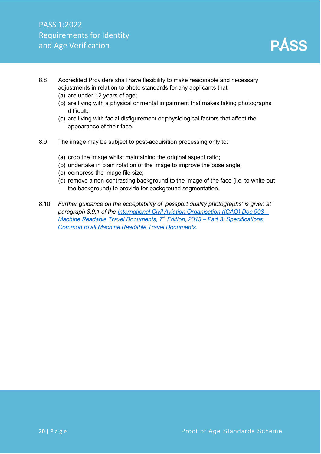

- 8.8 Accredited Providers shall have flexibility to make reasonable and necessary adjustments in relation to photo standards for any applicants that:
	- (a) are under 12 years of age;
	- (b) are living with a physical or mental impairment that makes taking photographs difficult;
	- (c) are living with facial disfigurement or physiological factors that affect the appearance of their face.
- 8.9 The image may be subject to post-acquisition processing only to:
	- (a) crop the image whilst maintaining the original aspect ratio;
	- (b) undertake in plain rotation of the image to improve the pose angle;
	- (c) compress the image file size;
	- (d) remove a non-contrasting background to the image of the face (i.e. to white out the background) to provide for background segmentation.
- 8.10 *Further guidance on the acceptability of 'passport quality photographs' is given at paragraph 3.9.1 of the [International Civil Aviation Organisation \(ICAO\) Doc 903](https://www.icao.int/publications/Documents/9303_p3_cons_en.pdf) – [Machine Readable Travel Documents, 7](https://www.icao.int/publications/Documents/9303_p3_cons_en.pdf)th Edition, 2013 – Part 3: Specifications [Common to all Machine Readable Travel Documents.](https://www.icao.int/publications/Documents/9303_p3_cons_en.pdf)*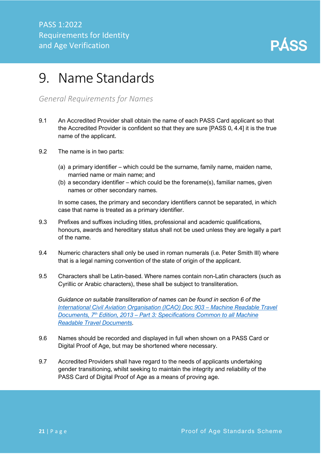

### <span id="page-21-0"></span>9. Name Standards

<span id="page-21-1"></span>*General Requirements for Names*

- 9.1 An Accredited Provider shall obtain the name of each PASS Card applicant so that the Accredited Provider is confident so that they are sure [PASS 0, 4.4] it is the true name of the applicant.
- 9.2 The name is in two parts:
	- (a) a primary identifier which could be the surname, family name, maiden name, married name or main name; and
	- (b) a secondary identifier which could be the forename(s), familiar names, given names or other secondary names.

In some cases, the primary and secondary identifiers cannot be separated, in which case that name is treated as a primary identifier.

- 9.3 Prefixes and suffixes including titles, professional and academic qualifications, honours, awards and hereditary status shall not be used unless they are legally a part of the name.
- 9.4 Numeric characters shall only be used in roman numerals (i.e. Peter Smith III) where that is a legal naming convention of the state of origin of the applicant.
- 9.5 Characters shall be Latin-based. Where names contain non-Latin characters (such as Cyrillic or Arabic characters), these shall be subject to transliteration.

*Guidance on suitable transliteration of names can be found in section 6 of the [International Civil Aviation Organisation \(ICAO\) Doc 903](https://www.icao.int/publications/Documents/9303_p3_cons_en.pdf) – Machine Readable Travel Documents, 7th Edition, 2013 – [Part 3: Specifications Common to all Machine](https://www.icao.int/publications/Documents/9303_p3_cons_en.pdf)  [Readable Travel Documents.](https://www.icao.int/publications/Documents/9303_p3_cons_en.pdf)*

- 9.6 Names should be recorded and displayed in full when shown on a PASS Card or Digital Proof of Age, but may be shortened where necessary.
- 9.7 Accredited Providers shall have regard to the needs of applicants undertaking gender transitioning, whilst seeking to maintain the integrity and reliability of the PASS Card of Digital Proof of Age as a means of proving age.